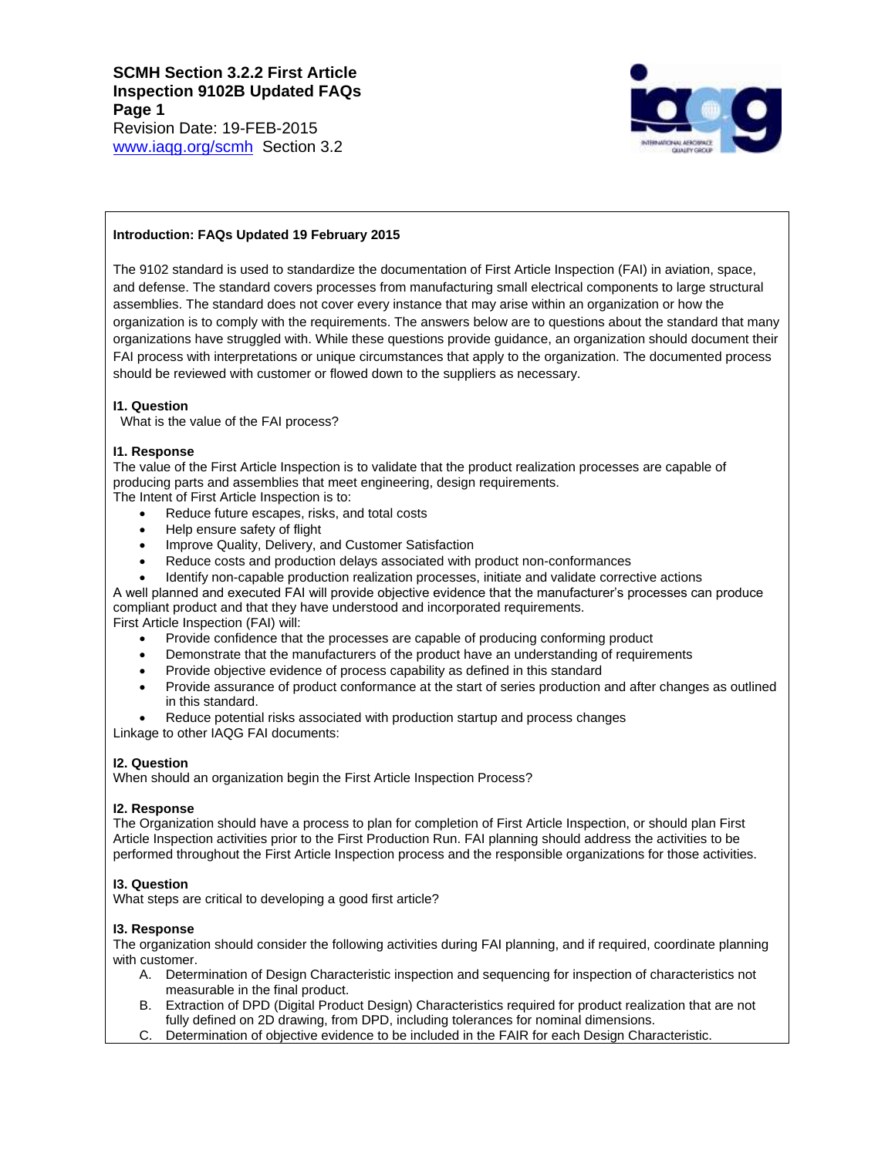

# **Introduction: FAQs Updated 19 February 2015**

The 9102 standard is used to standardize the documentation of First Article Inspection (FAI) in aviation, space, and defense. The standard covers processes from manufacturing small electrical components to large structural assemblies. The standard does not cover every instance that may arise within an organization or how the organization is to comply with the requirements. The answers below are to questions about the standard that many organizations have struggled with. While these questions provide guidance, an organization should document their FAI process with interpretations or unique circumstances that apply to the organization. The documented process should be reviewed with customer or flowed down to the suppliers as necessary.

## **I1. Question**

What is the value of the FAI process?

# **I1. Response**

The value of the First Article Inspection is to validate that the product realization processes are capable of producing parts and assemblies that meet engineering, design requirements.

The Intent of First Article Inspection is to:

- Reduce future escapes, risks, and total costs
- Help ensure safety of flight
- Improve Quality, Delivery, and Customer Satisfaction
- Reduce costs and production delays associated with product non-conformances
- Identify non-capable production realization processes, initiate and validate corrective actions

A well planned and executed FAI will provide objective evidence that the manufacturer's processes can produce compliant product and that they have understood and incorporated requirements. First Article Inspection (FAI) will:

- Provide confidence that the processes are capable of producing conforming product
- Demonstrate that the manufacturers of the product have an understanding of requirements
- Provide objective evidence of process capability as defined in this standard
- Provide assurance of product conformance at the start of series production and after changes as outlined in this standard.
- Reduce potential risks associated with production startup and process changes Linkage to other IAQG FAI documents:

## **I2. Question**

When should an organization begin the First Article Inspection Process?

## **I2. Response**

The Organization should have a process to plan for completion of First Article Inspection, or should plan First Article Inspection activities prior to the First Production Run. FAI planning should address the activities to be performed throughout the First Article Inspection process and the responsible organizations for those activities.

## **I3. Question**

What steps are critical to developing a good first article?

## **I3. Response**

The organization should consider the following activities during FAI planning, and if required, coordinate planning with customer.

- A. Determination of Design Characteristic inspection and sequencing for inspection of characteristics not measurable in the final product.
- B. Extraction of DPD (Digital Product Design) Characteristics required for product realization that are not fully defined on 2D drawing, from DPD, including tolerances for nominal dimensions.
- C. Determination of objective evidence to be included in the FAIR for each Design Characteristic.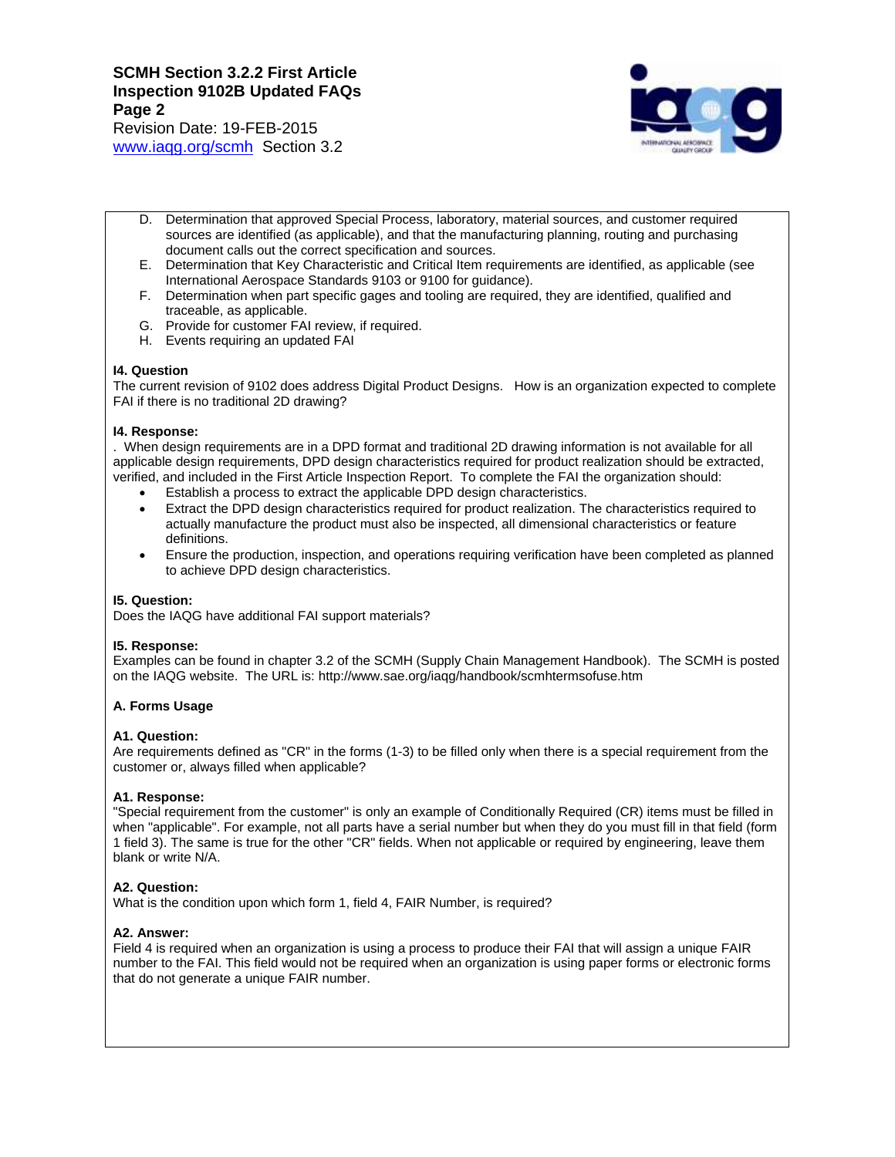Revision Date: 19-FEB-2015 [www.iaqg.org/scmh](http://www.iaqg.org/scmh) Section 3.2



- D. Determination that approved Special Process, laboratory, material sources, and customer required sources are identified (as applicable), and that the manufacturing planning, routing and purchasing document calls out the correct specification and sources.
- E. Determination that Key Characteristic and Critical Item requirements are identified, as applicable (see International Aerospace Standards 9103 or 9100 for guidance).
- F. Determination when part specific gages and tooling are required, they are identified, qualified and traceable, as applicable.
- G. Provide for customer FAI review, if required.
- H. Events requiring an updated FAI

## **I4. Question**

The current revision of 9102 does address Digital Product Designs. How is an organization expected to complete FAI if there is no traditional 2D drawing?

## **I4. Response:**

. When design requirements are in a DPD format and traditional 2D drawing information is not available for all applicable design requirements, DPD design characteristics required for product realization should be extracted, verified, and included in the First Article Inspection Report. To complete the FAI the organization should:

- Establish a process to extract the applicable DPD design characteristics.
- Extract the DPD design characteristics required for product realization. The characteristics required to actually manufacture the product must also be inspected, all dimensional characteristics or feature definitions.
- Ensure the production, inspection, and operations requiring verification have been completed as planned to achieve DPD design characteristics.

## **I5. Question:**

Does the IAQG have additional FAI support materials?

## **I5. Response:**

Examples can be found in chapter 3.2 of the SCMH (Supply Chain Management Handbook). The SCMH is posted on the IAQG website. The URL is: http://www.sae.org/iaqg/handbook/scmhtermsofuse.htm

## **A. Forms Usage**

## **A1. Question:**

Are requirements defined as "CR" in the forms (1-3) to be filled only when there is a special requirement from the customer or, always filled when applicable?

## **A1. Response:**

"Special requirement from the customer" is only an example of Conditionally Required (CR) items must be filled in when "applicable". For example, not all parts have a serial number but when they do you must fill in that field (form 1 field 3). The same is true for the other "CR" fields. When not applicable or required by engineering, leave them blank or write N/A.

## **A2. Question:**

What is the condition upon which form 1, field 4, FAIR Number, is required?

## **A2. Answer:**

Field 4 is required when an organization is using a process to produce their FAI that will assign a unique FAIR number to the FAI. This field would not be required when an organization is using paper forms or electronic forms that do not generate a unique FAIR number.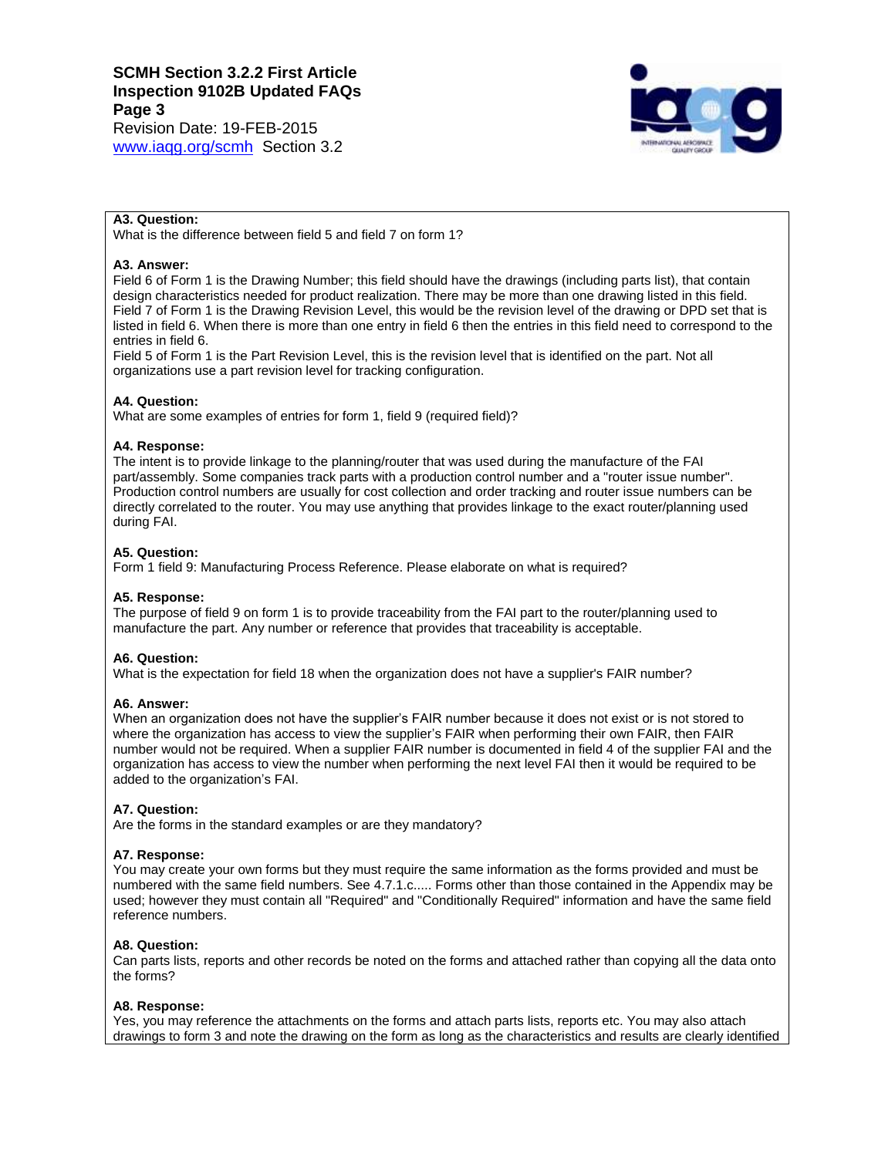Revision Date: 19-FEB-2015 [www.iaqg.org/scmh](http://www.iaqg.org/scmh) Section 3.2



# **A3. Question:**

What is the difference between field 5 and field 7 on form 1?

# **A3. Answer:**

Field 6 of Form 1 is the Drawing Number; this field should have the drawings (including parts list), that contain design characteristics needed for product realization. There may be more than one drawing listed in this field. Field 7 of Form 1 is the Drawing Revision Level, this would be the revision level of the drawing or DPD set that is listed in field 6. When there is more than one entry in field 6 then the entries in this field need to correspond to the entries in field 6.

Field 5 of Form 1 is the Part Revision Level, this is the revision level that is identified on the part. Not all organizations use a part revision level for tracking configuration.

# **A4. Question:**

What are some examples of entries for form 1, field 9 (required field)?

## **A4. Response:**

The intent is to provide linkage to the planning/router that was used during the manufacture of the FAI part/assembly. Some companies track parts with a production control number and a "router issue number". Production control numbers are usually for cost collection and order tracking and router issue numbers can be directly correlated to the router. You may use anything that provides linkage to the exact router/planning used during FAI.

# **A5. Question:**

Form 1 field 9: Manufacturing Process Reference. Please elaborate on what is required?

## **A5. Response:**

The purpose of field 9 on form 1 is to provide traceability from the FAI part to the router/planning used to manufacture the part. Any number or reference that provides that traceability is acceptable.

## **A6. Question:**

What is the expectation for field 18 when the organization does not have a supplier's FAIR number?

## **A6. Answer:**

When an organization does not have the supplier's FAIR number because it does not exist or is not stored to where the organization has access to view the supplier's FAIR when performing their own FAIR, then FAIR number would not be required. When a supplier FAIR number is documented in field 4 of the supplier FAI and the organization has access to view the number when performing the next level FAI then it would be required to be added to the organization's FAI.

## **A7. Question:**

Are the forms in the standard examples or are they mandatory?

## **A7. Response:**

You may create your own forms but they must require the same information as the forms provided and must be numbered with the same field numbers. See 4.7.1.c..... Forms other than those contained in the Appendix may be used; however they must contain all "Required" and "Conditionally Required" information and have the same field reference numbers.

## **A8. Question:**

Can parts lists, reports and other records be noted on the forms and attached rather than copying all the data onto the forms?

## **A8. Response:**

Yes, you may reference the attachments on the forms and attach parts lists, reports etc. You may also attach drawings to form 3 and note the drawing on the form as long as the characteristics and results are clearly identified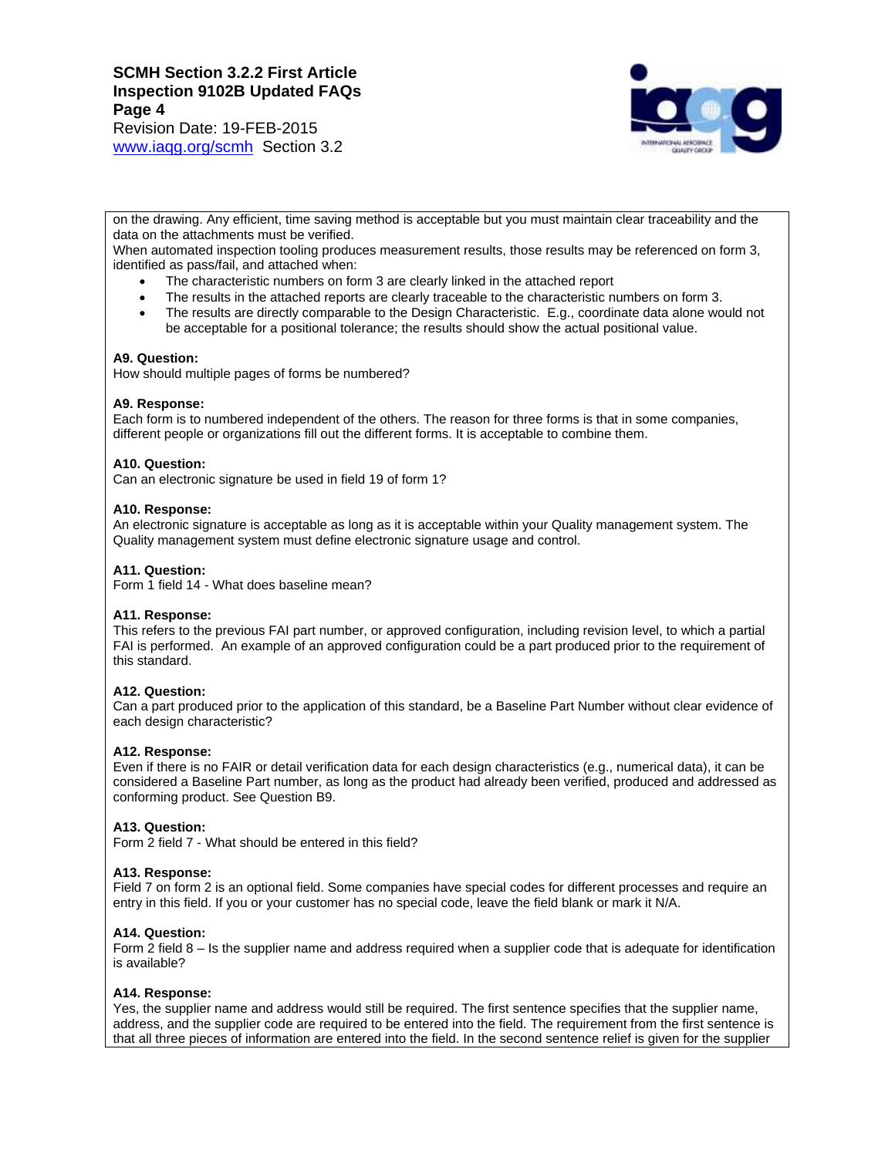Revision Date: 19-FEB-2015 [www.iaqg.org/scmh](http://www.iaqg.org/scmh) Section 3.2



on the drawing. Any efficient, time saving method is acceptable but you must maintain clear traceability and the data on the attachments must be verified.

When automated inspection tooling produces measurement results, those results may be referenced on form 3, identified as pass/fail, and attached when:

- The characteristic numbers on form 3 are clearly linked in the attached report
- The results in the attached reports are clearly traceable to the characteristic numbers on form 3.
- The results are directly comparable to the Design Characteristic. E.g., coordinate data alone would not be acceptable for a positional tolerance; the results should show the actual positional value.

#### **A9. Question:**

How should multiple pages of forms be numbered?

#### **A9. Response:**

Each form is to numbered independent of the others. The reason for three forms is that in some companies, different people or organizations fill out the different forms. It is acceptable to combine them.

#### **A10. Question:**

Can an electronic signature be used in field 19 of form 1?

#### **A10. Response:**

An electronic signature is acceptable as long as it is acceptable within your Quality management system. The Quality management system must define electronic signature usage and control.

#### **A11. Question:**

Form 1 field 14 - What does baseline mean?

## **A11. Response:**

This refers to the previous FAI part number, or approved configuration, including revision level, to which a partial FAI is performed. An example of an approved configuration could be a part produced prior to the requirement of this standard.

## **A12. Question:**

Can a part produced prior to the application of this standard, be a Baseline Part Number without clear evidence of each design characteristic?

#### **A12. Response:**

Even if there is no FAIR or detail verification data for each design characteristics (e.g., numerical data), it can be considered a Baseline Part number, as long as the product had already been verified, produced and addressed as conforming product. See Question B9.

#### **A13. Question:**

Form 2 field 7 - What should be entered in this field?

#### **A13. Response:**

Field 7 on form 2 is an optional field. Some companies have special codes for different processes and require an entry in this field. If you or your customer has no special code, leave the field blank or mark it N/A.

#### **A14. Question:**

Form 2 field 8 – Is the supplier name and address required when a supplier code that is adequate for identification is available?

#### **A14. Response:**

Yes, the supplier name and address would still be required. The first sentence specifies that the supplier name, address, and the supplier code are required to be entered into the field. The requirement from the first sentence is that all three pieces of information are entered into the field. In the second sentence relief is given for the supplier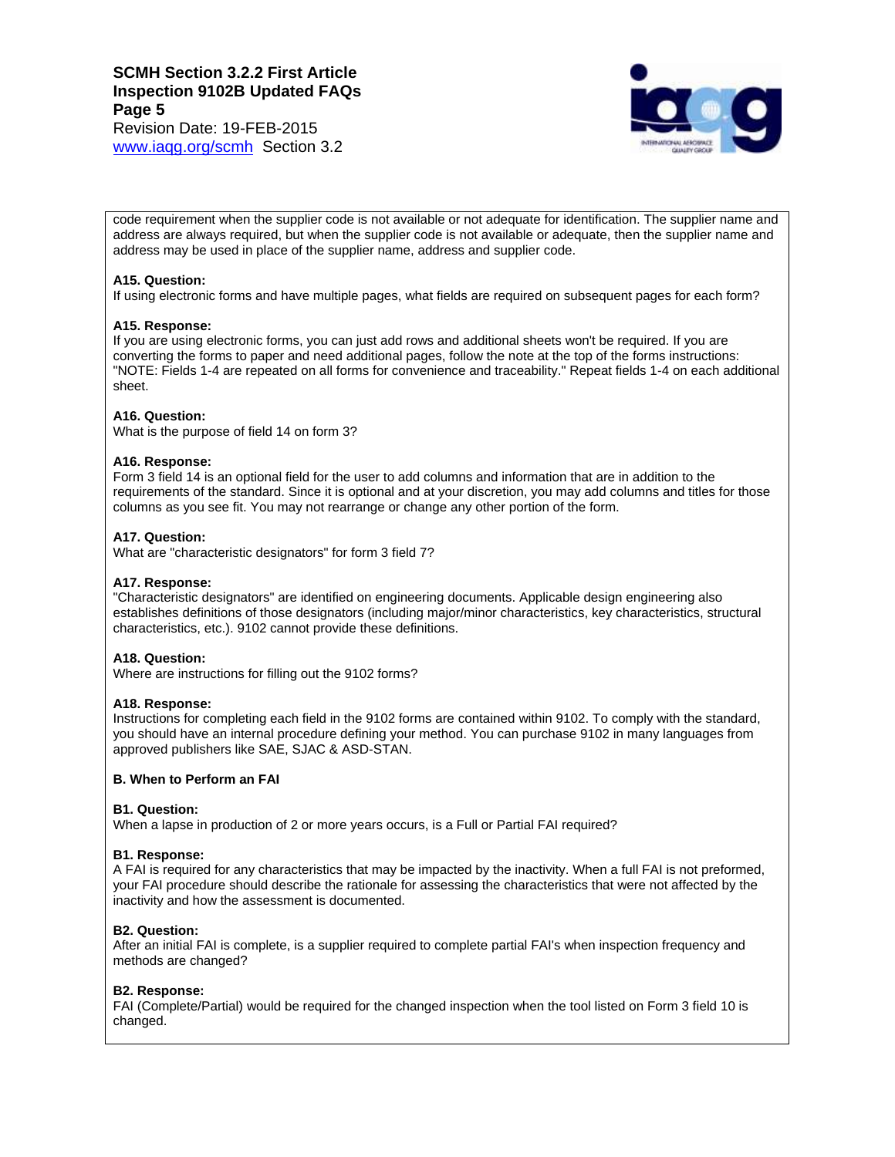Revision Date: 19-FEB-2015 [www.iaqg.org/scmh](http://www.iaqg.org/scmh) Section 3.2



code requirement when the supplier code is not available or not adequate for identification. The supplier name and address are always required, but when the supplier code is not available or adequate, then the supplier name and address may be used in place of the supplier name, address and supplier code.

#### **A15. Question:**

If using electronic forms and have multiple pages, what fields are required on subsequent pages for each form?

#### **A15. Response:**

If you are using electronic forms, you can just add rows and additional sheets won't be required. If you are converting the forms to paper and need additional pages, follow the note at the top of the forms instructions: "NOTE: Fields 1-4 are repeated on all forms for convenience and traceability." Repeat fields 1-4 on each additional sheet.

#### **A16. Question:**

What is the purpose of field 14 on form 3?

#### **A16. Response:**

Form 3 field 14 is an optional field for the user to add columns and information that are in addition to the requirements of the standard. Since it is optional and at your discretion, you may add columns and titles for those columns as you see fit. You may not rearrange or change any other portion of the form.

# **A17. Question:**

What are "characteristic designators" for form 3 field 7?

#### **A17. Response:**

"Characteristic designators" are identified on engineering documents. Applicable design engineering also establishes definitions of those designators (including major/minor characteristics, key characteristics, structural characteristics, etc.). 9102 cannot provide these definitions.

#### **A18. Question:**

Where are instructions for filling out the 9102 forms?

#### **A18. Response:**

Instructions for completing each field in the 9102 forms are contained within 9102. To comply with the standard, you should have an internal procedure defining your method. You can purchase 9102 in many languages from approved publishers like SAE, SJAC & ASD-STAN.

#### **B. When to Perform an FAI**

#### **B1. Question:**

When a lapse in production of 2 or more years occurs, is a Full or Partial FAI required?

#### **B1. Response:**

A FAI is required for any characteristics that may be impacted by the inactivity. When a full FAI is not preformed, your FAI procedure should describe the rationale for assessing the characteristics that were not affected by the inactivity and how the assessment is documented.

#### **B2. Question:**

After an initial FAI is complete, is a supplier required to complete partial FAI's when inspection frequency and methods are changed?

## **B2. Response:**

FAI (Complete/Partial) would be required for the changed inspection when the tool listed on Form 3 field 10 is changed.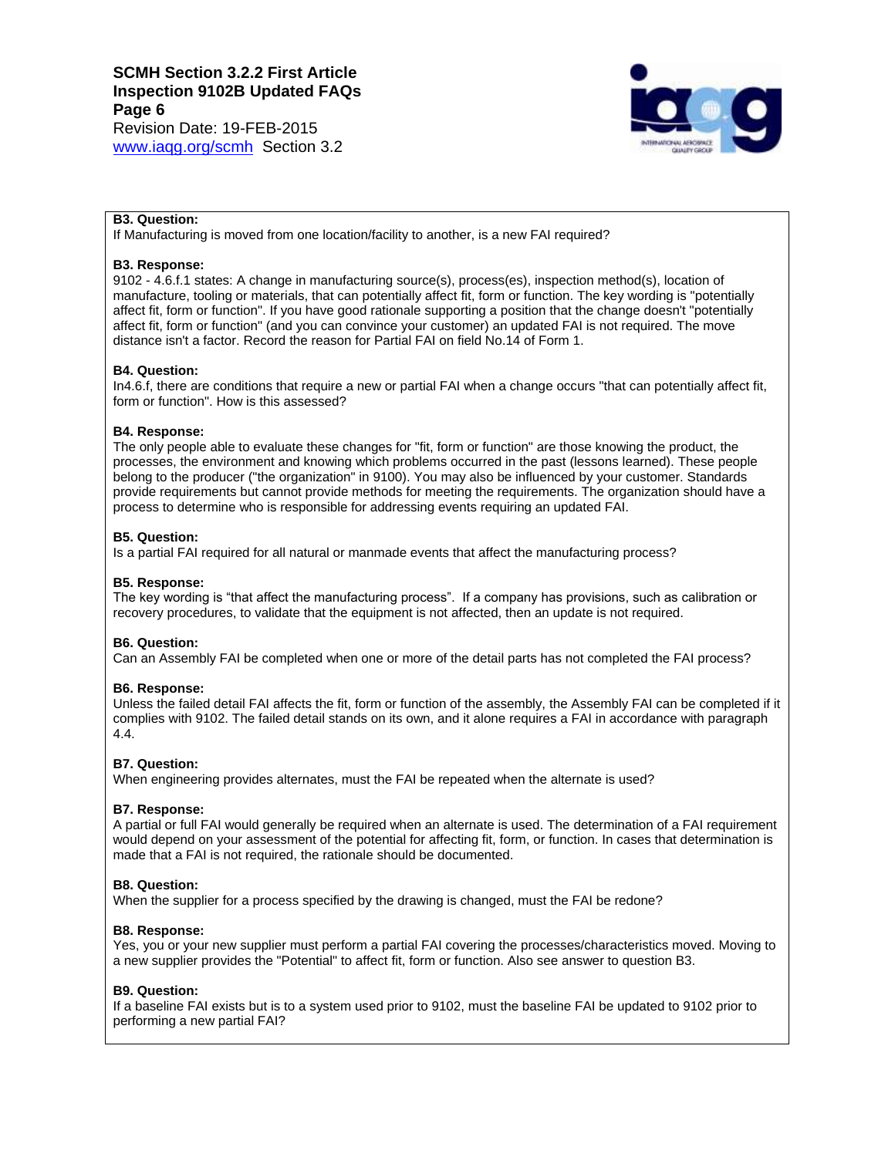Revision Date: 19-FEB-2015 [www.iaqg.org/scmh](http://www.iaqg.org/scmh) Section 3.2



## **B3. Question:**

If Manufacturing is moved from one location/facility to another, is a new FAI required?

#### **B3. Response:**

9102 - 4.6.f.1 states: A change in manufacturing source(s), process(es), inspection method(s), location of manufacture, tooling or materials, that can potentially affect fit, form or function. The key wording is "potentially affect fit, form or function". If you have good rationale supporting a position that the change doesn't "potentially affect fit, form or function" (and you can convince your customer) an updated FAI is not required. The move distance isn't a factor. Record the reason for Partial FAI on field No.14 of Form 1.

#### **B4. Question:**

In4.6.f, there are conditions that require a new or partial FAI when a change occurs "that can potentially affect fit, form or function". How is this assessed?

#### **B4. Response:**

The only people able to evaluate these changes for "fit, form or function" are those knowing the product, the processes, the environment and knowing which problems occurred in the past (lessons learned). These people belong to the producer ("the organization" in 9100). You may also be influenced by your customer. Standards provide requirements but cannot provide methods for meeting the requirements. The organization should have a process to determine who is responsible for addressing events requiring an updated FAI.

#### **B5. Question:**

Is a partial FAI required for all natural or manmade events that affect the manufacturing process?

#### **B5. Response:**

The key wording is "that affect the manufacturing process". If a company has provisions, such as calibration or recovery procedures, to validate that the equipment is not affected, then an update is not required.

## **B6. Question:**

Can an Assembly FAI be completed when one or more of the detail parts has not completed the FAI process?

#### **B6. Response:**

Unless the failed detail FAI affects the fit, form or function of the assembly, the Assembly FAI can be completed if it complies with 9102. The failed detail stands on its own, and it alone requires a FAI in accordance with paragraph 4.4.

## **B7. Question:**

When engineering provides alternates, must the FAI be repeated when the alternate is used?

#### **B7. Response:**

A partial or full FAI would generally be required when an alternate is used. The determination of a FAI requirement would depend on your assessment of the potential for affecting fit, form, or function. In cases that determination is made that a FAI is not required, the rationale should be documented.

#### **B8. Question:**

When the supplier for a process specified by the drawing is changed, must the FAI be redone?

#### **B8. Response:**

Yes, you or your new supplier must perform a partial FAI covering the processes/characteristics moved. Moving to a new supplier provides the "Potential" to affect fit, form or function. Also see answer to question B3.

#### **B9. Question:**

If a baseline FAI exists but is to a system used prior to 9102, must the baseline FAI be updated to 9102 prior to performing a new partial FAI?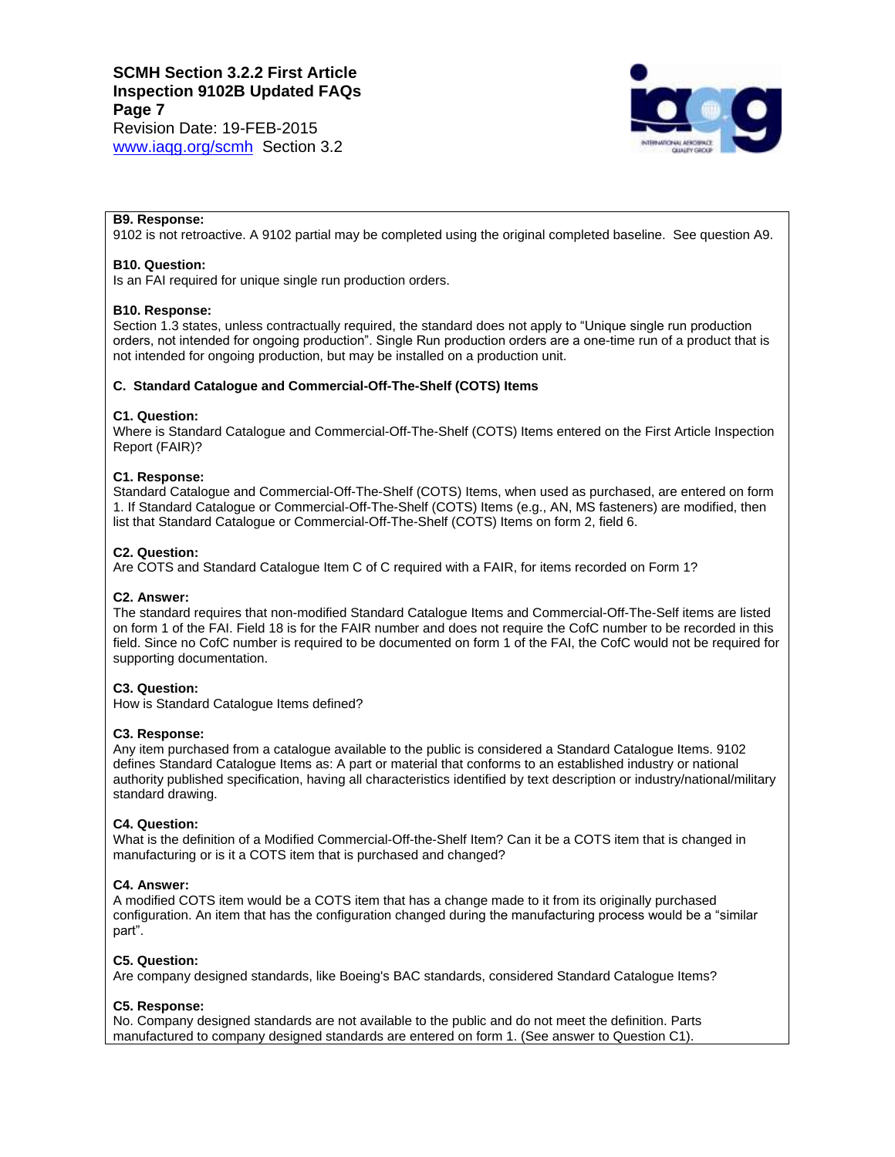[www.iaqg.org/scmh](http://www.iaqg.org/scmh) Section 3.2



#### **B9. Response:**

9102 is not retroactive. A 9102 partial may be completed using the original completed baseline. See question A9.

#### **B10. Question:**

Is an FAI required for unique single run production orders.

#### **B10. Response:**

Section 1.3 states, unless contractually required, the standard does not apply to "Unique single run production orders, not intended for ongoing production". Single Run production orders are a one-time run of a product that is not intended for ongoing production, but may be installed on a production unit.

# **C. Standard Catalogue and Commercial-Off-The-Shelf (COTS) Items**

#### **C1. Question:**

Where is Standard Catalogue and Commercial-Off-The-Shelf (COTS) Items entered on the First Article Inspection Report (FAIR)?

#### **C1. Response:**

Standard Catalogue and Commercial-Off-The-Shelf (COTS) Items, when used as purchased, are entered on form 1. If Standard Catalogue or Commercial-Off-The-Shelf (COTS) Items (e.g., AN, MS fasteners) are modified, then list that Standard Catalogue or Commercial-Off-The-Shelf (COTS) Items on form 2, field 6.

#### **C2. Question:**

Are COTS and Standard Catalogue Item C of C required with a FAIR, for items recorded on Form 1?

## **C2. Answer:**

The standard requires that non-modified Standard Catalogue Items and Commercial-Off-The-Self items are listed on form 1 of the FAI. Field 18 is for the FAIR number and does not require the CofC number to be recorded in this field. Since no CofC number is required to be documented on form 1 of the FAI, the CofC would not be required for supporting documentation.

## **C3. Question:**

How is Standard Catalogue Items defined?

#### **C3. Response:**

Any item purchased from a catalogue available to the public is considered a Standard Catalogue Items. 9102 defines Standard Catalogue Items as: A part or material that conforms to an established industry or national authority published specification, having all characteristics identified by text description or industry/national/military standard drawing.

#### **C4. Question:**

What is the definition of a Modified Commercial-Off-the-Shelf Item? Can it be a COTS item that is changed in manufacturing or is it a COTS item that is purchased and changed?

## **C4. Answer:**

A modified COTS item would be a COTS item that has a change made to it from its originally purchased configuration. An item that has the configuration changed during the manufacturing process would be a "similar part".

## **C5. Question:**

Are company designed standards, like Boeing's BAC standards, considered Standard Catalogue Items?

#### **C5. Response:**

No. Company designed standards are not available to the public and do not meet the definition. Parts manufactured to company designed standards are entered on form 1. (See answer to Question C1).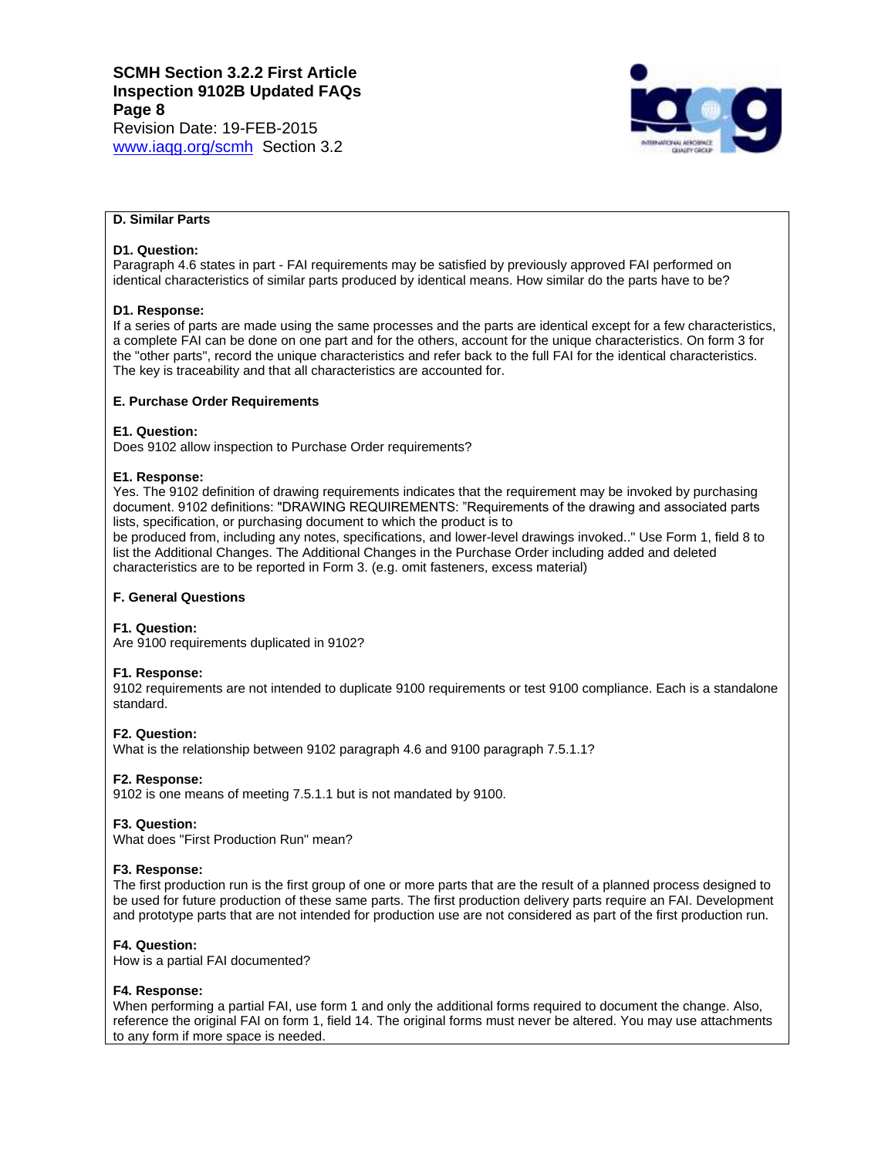Revision Date: 19-FEB-2015 [www.iaqg.org/scmh](http://www.iaqg.org/scmh) Section 3.2



# **D. Similar Parts**

# **D1. Question:**

Paragraph 4.6 states in part - FAI requirements may be satisfied by previously approved FAI performed on identical characteristics of similar parts produced by identical means. How similar do the parts have to be?

## **D1. Response:**

If a series of parts are made using the same processes and the parts are identical except for a few characteristics, a complete FAI can be done on one part and for the others, account for the unique characteristics. On form 3 for the "other parts", record the unique characteristics and refer back to the full FAI for the identical characteristics. The key is traceability and that all characteristics are accounted for.

# **E. Purchase Order Requirements**

## **E1. Question:**

Does 9102 allow inspection to Purchase Order requirements?

#### **E1. Response:**

Yes. The 9102 definition of drawing requirements indicates that the requirement may be invoked by purchasing document. 9102 definitions: "DRAWING REQUIREMENTS: "Requirements of the drawing and associated parts lists, specification, or purchasing document to which the product is to

be produced from, including any notes, specifications, and lower-level drawings invoked.." Use Form 1, field 8 to list the Additional Changes. The Additional Changes in the Purchase Order including added and deleted characteristics are to be reported in Form 3. (e.g. omit fasteners, excess material)

## **F. General Questions**

## **F1. Question:**

Are 9100 requirements duplicated in 9102?

## **F1. Response:**

9102 requirements are not intended to duplicate 9100 requirements or test 9100 compliance. Each is a standalone standard.

## **F2. Question:**

What is the relationship between 9102 paragraph 4.6 and 9100 paragraph 7.5.1.1?

# **F2. Response:**

9102 is one means of meeting 7.5.1.1 but is not mandated by 9100.

#### **F3. Question:**

What does "First Production Run" mean?

## **F3. Response:**

The first production run is the first group of one or more parts that are the result of a planned process designed to be used for future production of these same parts. The first production delivery parts require an FAI. Development and prototype parts that are not intended for production use are not considered as part of the first production run.

## **F4. Question:**

How is a partial FAI documented?

## **F4. Response:**

When performing a partial FAI, use form 1 and only the additional forms required to document the change. Also, reference the original FAI on form 1, field 14. The original forms must never be altered. You may use attachments to any form if more space is needed.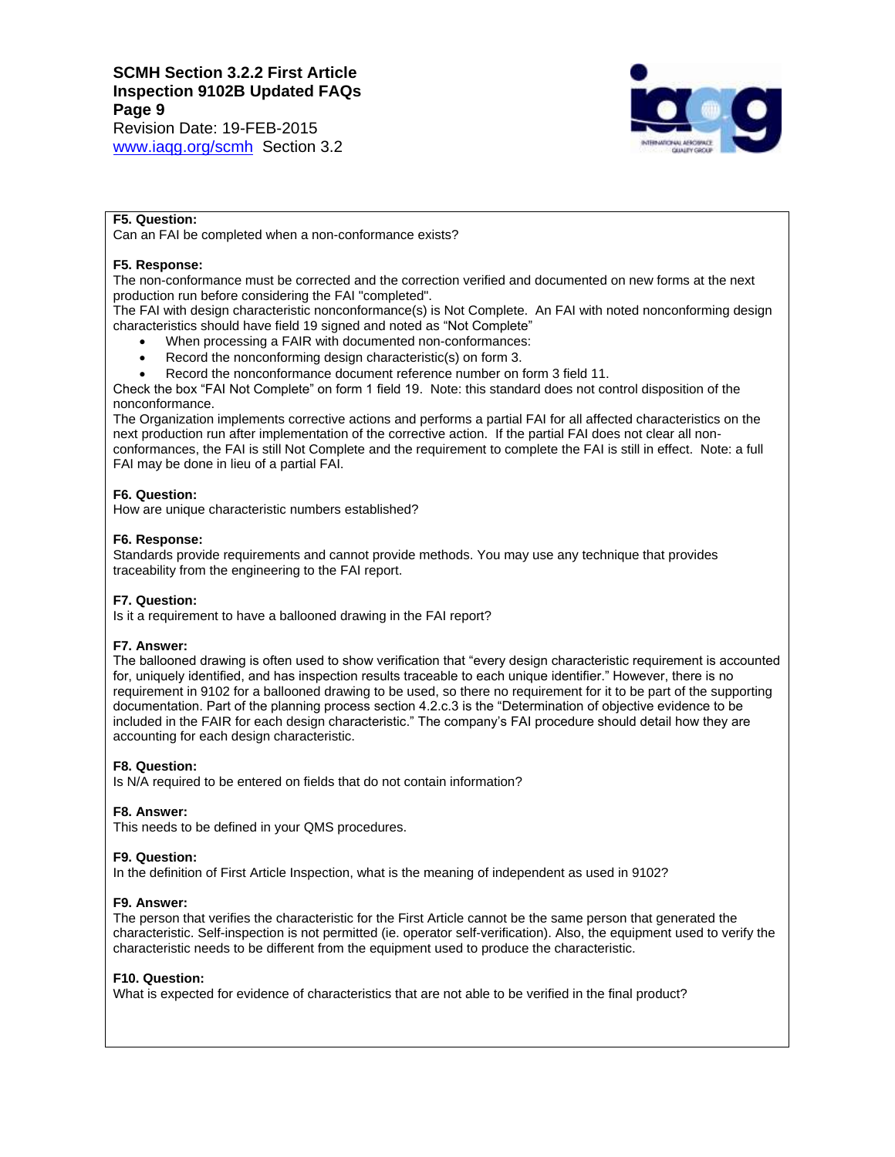Revision Date: 19-FEB-2015 [www.iaqg.org/scmh](http://www.iaqg.org/scmh) Section 3.2



# **F5. Question:**

Can an FAI be completed when a non-conformance exists?

## **F5. Response:**

The non-conformance must be corrected and the correction verified and documented on new forms at the next production run before considering the FAI "completed".

The FAI with design characteristic nonconformance(s) is Not Complete. An FAI with noted nonconforming design characteristics should have field 19 signed and noted as "Not Complete"

- When processing a FAIR with documented non-conformances:
- Record the nonconforming design characteristic(s) on form 3.
- Record the nonconformance document reference number on form 3 field 11.

Check the box "FAI Not Complete" on form 1 field 19. Note: this standard does not control disposition of the nonconformance.

The Organization implements corrective actions and performs a partial FAI for all affected characteristics on the next production run after implementation of the corrective action. If the partial FAI does not clear all nonconformances, the FAI is still Not Complete and the requirement to complete the FAI is still in effect. Note: a full FAI may be done in lieu of a partial FAI.

# **F6. Question:**

How are unique characteristic numbers established?

# **F6. Response:**

Standards provide requirements and cannot provide methods. You may use any technique that provides traceability from the engineering to the FAI report.

# **F7. Question:**

Is it a requirement to have a ballooned drawing in the FAI report?

# **F7. Answer:**

The ballooned drawing is often used to show verification that "every design characteristic requirement is accounted for, uniquely identified, and has inspection results traceable to each unique identifier." However, there is no requirement in 9102 for a ballooned drawing to be used, so there no requirement for it to be part of the supporting documentation. Part of the planning process section 4.2.c.3 is the "Determination of objective evidence to be included in the FAIR for each design characteristic." The company's FAI procedure should detail how they are accounting for each design characteristic.

# **F8. Question:**

Is N/A required to be entered on fields that do not contain information?

## **F8. Answer:**

This needs to be defined in your QMS procedures.

## **F9. Question:**

In the definition of First Article Inspection, what is the meaning of independent as used in 9102?

## **F9. Answer:**

The person that verifies the characteristic for the First Article cannot be the same person that generated the characteristic. Self-inspection is not permitted (ie. operator self-verification). Also, the equipment used to verify the characteristic needs to be different from the equipment used to produce the characteristic.

## **F10. Question:**

What is expected for evidence of characteristics that are not able to be verified in the final product?